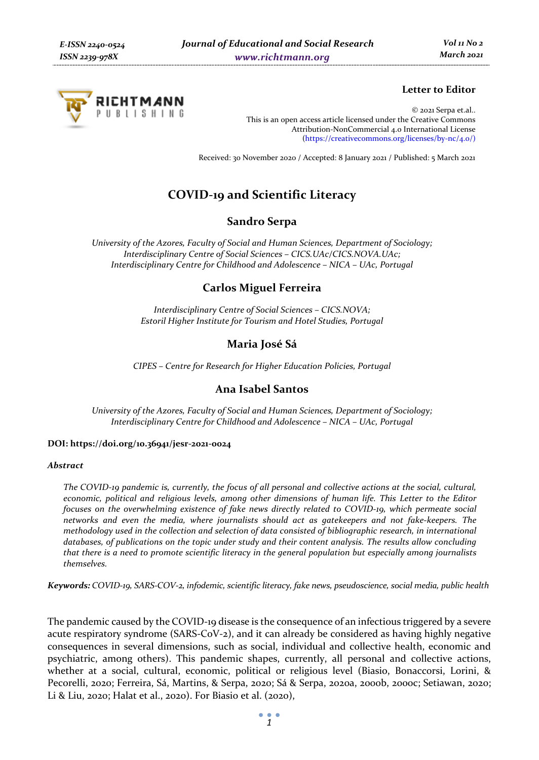

# **Letter to Editor**

© 2021 Serpa et.al.. This is an open access article licensed under the Creative Commons Attribution-NonCommercial 4.0 International License (https://creativecommons.org/licenses/by-nc/4.0/)

Received: 30 November 2020 / Accepted: 8 January 2021 / Published: 5 March 2021

# **COVID-19 and Scientific Literacy**

### **Sandro Serpa**

*University of the Azores, Faculty of Social and Human Sciences, Department of Sociology; Interdisciplinary Centre of Social Sciences – CICS.UAc/CICS.NOVA.UAc; Interdisciplinary Centre for Childhood and Adolescence – NICA – UAc, Portugal* 

# **Carlos Miguel Ferreira**

*Interdisciplinary Centre of Social Sciences – CICS.NOVA; Estoril Higher Institute for Tourism and Hotel Studies, Portugal* 

### **Maria José Sá**

*CIPES – Centre for Research for Higher Education Policies, Portugal* 

# **Ana Isabel Santos**

*University of the Azores, Faculty of Social and Human Sciences, Department of Sociology; Interdisciplinary Centre for Childhood and Adolescence – NICA – UAc, Portugal* 

#### **DOI: https://doi.org/10.36941/jesr-2021-0024**

#### *Abstract*

*The COVID-19 pandemic is, currently, the focus of all personal and collective actions at the social, cultural, economic, political and religious levels, among other dimensions of human life. This Letter to the Editor focuses on the overwhelming existence of fake news directly related to COVID-19, which permeate social networks and even the media, where journalists should act as gatekeepers and not fake-keepers. The methodology used in the collection and selection of data consisted of bibliographic research, in international databases, of publications on the topic under study and their content analysis. The results allow concluding that there is a need to promote scientific literacy in the general population but especially among journalists themselves.* 

*Keywords: COVID-19, SARS-COV-2, infodemic, scientific literacy, fake news, pseudoscience, social media, public health* 

The pandemic caused by the COVID-19 disease is the consequence of an infectious triggered by a severe acute respiratory syndrome (SARS-CoV-2), and it can already be considered as having highly negative consequences in several dimensions, such as social, individual and collective health, economic and psychiatric, among others). This pandemic shapes, currently, all personal and collective actions, whether at a social, cultural, economic, political or religious level (Biasio, Bonaccorsi, Lorini, & Pecorelli, 2020; Ferreira, Sá, Martins, & Serpa, 2020; Sá & Serpa, 2020a, 2000b, 2000c; Setiawan, 2020; Li & Liu, 2020; Halat et al., 2020). For Biasio et al. (2020),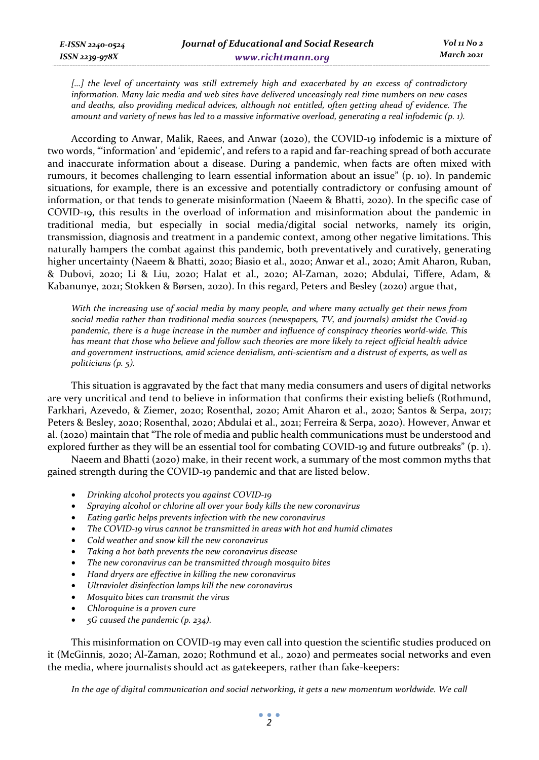*[…] the level of uncertainty was still extremely high and exacerbated by an excess of contradictory information. Many laic media and web sites have delivered unceasingly real time numbers on new cases and deaths, also providing medical advices, although not entitled, often getting ahead of evidence. The amount and variety of news has led to a massive informative overload, generating a real infodemic (p. 1).* 

According to Anwar, Malik, Raees, and Anwar (2020), the COVID-19 infodemic is a mixture of two words, "'information' and 'epidemic', and refers to a rapid and far-reaching spread of both accurate and inaccurate information about a disease. During a pandemic, when facts are often mixed with rumours, it becomes challenging to learn essential information about an issue" (p. 10). In pandemic situations, for example, there is an excessive and potentially contradictory or confusing amount of information, or that tends to generate misinformation (Naeem & Bhatti, 2020). In the specific case of COVID-19, this results in the overload of information and misinformation about the pandemic in traditional media, but especially in social media/digital social networks, namely its origin, transmission, diagnosis and treatment in a pandemic context, among other negative limitations. This naturally hampers the combat against this pandemic, both preventatively and curatively, generating higher uncertainty (Naeem & Bhatti, 2020; Biasio et al., 2020; Anwar et al., 2020; Amit Aharon, Ruban, & Dubovi, 2020; Li & Liu, 2020; Halat et al., 2020; Al-Zaman, 2020; Abdulai, Tiffere, Adam, & Kabanunye, 2021; Stokken & Børsen, 2020). In this regard, Peters and Besley (2020) argue that,

*With the increasing use of social media by many people, and where many actually get their news from social media rather than traditional media sources (newspapers, TV, and journals) amidst the Covid-19 pandemic, there is a huge increase in the number and influence of conspiracy theories world-wide. This has meant that those who believe and follow such theories are more likely to reject official health advice and government instructions, amid science denialism, anti-scientism and a distrust of experts, as well as politicians (p. 5).* 

This situation is aggravated by the fact that many media consumers and users of digital networks are very uncritical and tend to believe in information that confirms their existing beliefs (Rothmund, Farkhari, Azevedo, & Ziemer, 2020; Rosenthal, 2020; Amit Aharon et al., 2020; Santos & Serpa, 2017; Peters & Besley, 2020; Rosenthal, 2020; Abdulai et al., 2021; Ferreira & Serpa, 2020). However, Anwar et al. (2020) maintain that "The role of media and public health communications must be understood and explored further as they will be an essential tool for combating COVID-19 and future outbreaks" (p. 1).

Naeem and Bhatti (2020) make, in their recent work, a summary of the most common myths that gained strength during the COVID-19 pandemic and that are listed below.

- *Drinking alcohol protects you against COVID-19*
- *Spraying alcohol or chlorine all over your body kills the new coronavirus*
- *Eating garlic helps prevents infection with the new coronavirus*
- *The COVID-19 virus cannot be transmitted in areas with hot and humid climates*
- *Cold weather and snow kill the new coronavirus*
- *Taking a hot bath prevents the new coronavirus disease*
- *The new coronavirus can be transmitted through mosquito bites*
- *Hand dryers are effective in killing the new coronavirus*
- *Ultraviolet disinfection lamps kill the new coronavirus*
- *Mosquito bites can transmit the virus*
- *Chloroquine is a proven cure*
- *5G caused the pandemic (p. 234).*

This misinformation on COVID-19 may even call into question the scientific studies produced on it (McGinnis, 2020; Al-Zaman, 2020; Rothmund et al., 2020) and permeates social networks and even the media, where journalists should act as gatekeepers, rather than fake-keepers:

In the age of digital communication and social networking, it gets a new momentum worldwide. We call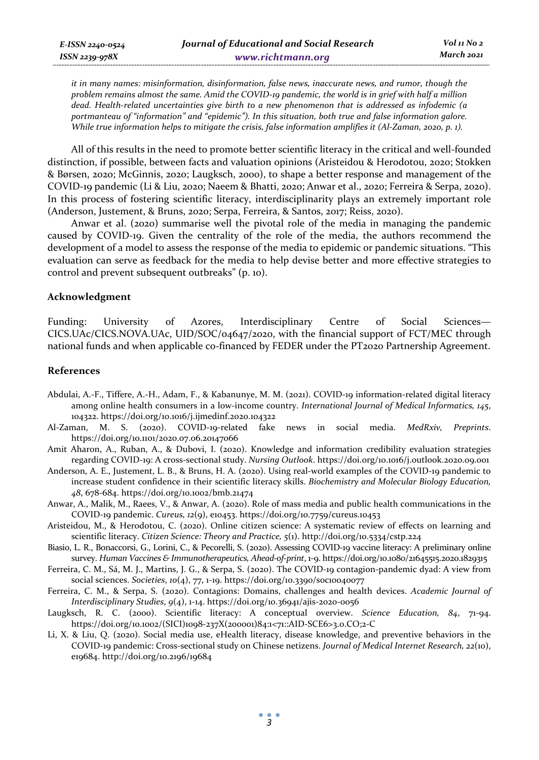*it in many names: misinformation, disinformation, false news, inaccurate news, and rumor, though the problem remains almost the same. Amid the COVID-19 pandemic, the world is in grief with half a million dead. Health-related uncertainties give birth to a new phenomenon that is addressed as infodemic (a portmanteau of "information" and "epidemic"). In this situation, both true and false information galore. While true information helps to mitigate the crisis, false information amplifies it (Al-Zaman, 2020, p. 1).* 

All of this results in the need to promote better scientific literacy in the critical and well-founded distinction, if possible, between facts and valuation opinions (Aristeidou & Herodotou, 2020; Stokken & Børsen, 2020; McGinnis, 2020; Laugksch, 2000), to shape a better response and management of the COVID-19 pandemic (Li & Liu, 2020; Naeem & Bhatti, 2020; Anwar et al., 2020; Ferreira & Serpa, 2020). In this process of fostering scientific literacy, interdisciplinarity plays an extremely important role (Anderson, Justement, & Bruns, 2020; Serpa, Ferreira, & Santos, 2017; Reiss, 2020).

Anwar et al. (2020) summarise well the pivotal role of the media in managing the pandemic caused by COVID-19. Given the centrality of the role of the media, the authors recommend the development of a model to assess the response of the media to epidemic or pandemic situations. "This evaluation can serve as feedback for the media to help devise better and more effective strategies to control and prevent subsequent outbreaks" (p. 10).

#### **Acknowledgment**

Funding: University of Azores, Interdisciplinary Centre of Social Sciences— CICS.UAc/CICS.NOVA.UAc, UID/SOC/04647/2020, with the financial support of FCT/MEC through national funds and when applicable co-financed by FEDER under the PT2020 Partnership Agreement.

#### **References**

- Abdulai, A.-F., Tiffere, A.-H., Adam, F., & Kabanunye, M. M. (2021). COVID-19 information-related digital literacy among online health consumers in a low-income country. *International Journal of Medical Informatics, 145*, 104322. https://doi.org/10.1016/j.ijmedinf.2020.104322
- Al-Zaman, M. S. (2020). COVID-19-related fake news in social media. *MedRxiv, Preprints*. https://doi.org/10.1101/2020.07.06.20147066
- Amit Aharon, A., Ruban, A., & Dubovi, I. (2020). Knowledge and information credibility evaluation strategies regarding COVID-19: A cross-sectional study. *Nursing Outlook*. https://doi.org/10.1016/j.outlook.2020.09.001
- Anderson, A. E., Justement, L. B., & Bruns, H. A. (2020). Using real-world examples of the COVID-19 pandemic to increase student confidence in their scientific literacy skills. *Biochemistry and Molecular Biology Education, 48*, 678-684. https://doi.org/10.1002/bmb.21474
- Anwar, A., Malik, M., Raees, V., & Anwar, A. (2020). Role of mass media and public health communications in the COVID-19 pandemic. *Cureus, 12*(9), e10453. https://doi.org/10.7759/cureus.10453
- Aristeidou, M., & Herodotou, C. (2020). Online citizen science: A systematic review of effects on learning and scientific literacy. *Citizen Science: Theory and Practice, 5*(1). http://doi.org/10.5334/cstp.224
- Biasio, L. R., Bonaccorsi, G., Lorini, C., & Pecorelli, S. (2020). Assessing COVID-19 vaccine literacy: A preliminary online survey. *Human Vaccines & Immunotherapeutics, Ahead-of-print*, 1-9. https://doi.org/10.1080/21645515.2020.1829315
- Ferreira, C. M., Sá, M. J., Martins, J. G., & Serpa, S. (2020). The COVID-19 contagion-pandemic dyad: A view from social sciences. *Societies*, *10*(4), 77, 1-19. https://doi.org/10.3390/soc10040077
- Ferreira, C. M., & Serpa, S. (2020). Contagions: Domains, challenges and health devices. *Academic Journal of Interdisciplinary Studies*, *9*(4), 1-14. https://doi.org/10.36941/ajis-2020-0056
- Laugksch, R. C. (2000). Scientific literacy: A conceptual overview. *Science Education, 84*, 71-94. https://doi.org/10.1002/(SICI)1098-237X(200001)84:1<71::AID-SCE6>3.0.CO;2-C
- Li, X. & Liu, Q. (2020). Social media use, eHealth literacy, disease knowledge, and preventive behaviors in the COVID-19 pandemic: Cross-sectional study on Chinese netizens. *Journal of Medical Internet Research, 22*(10), e19684. http://doi.org/10.2196/19684